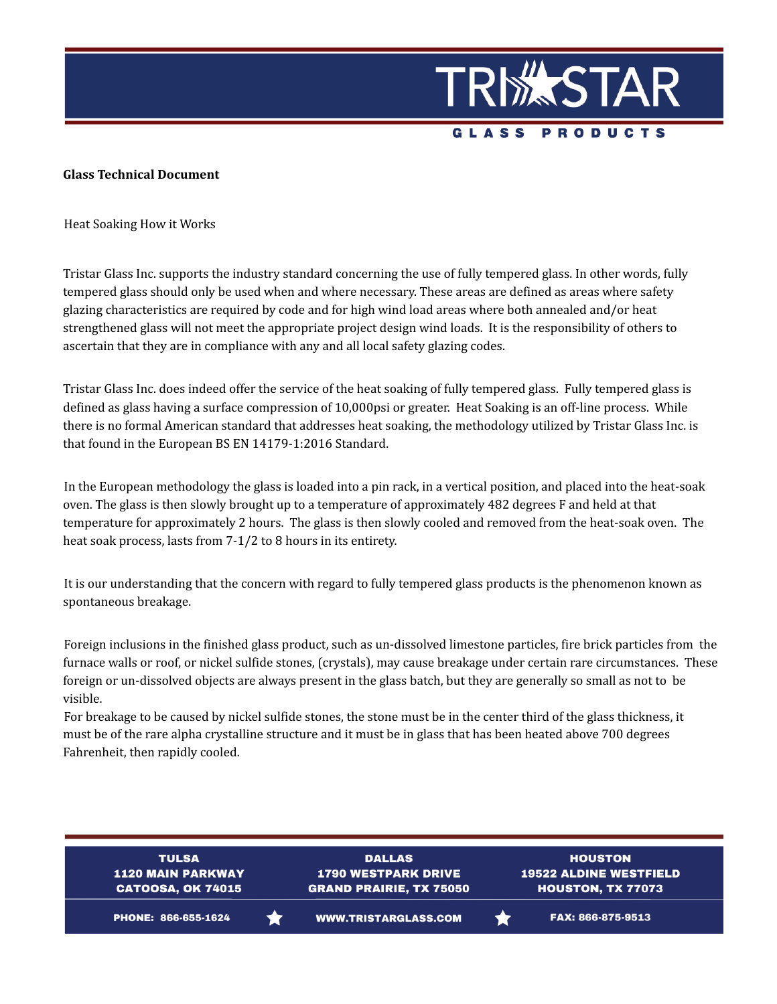## **Glass Technical Document**

Heat Soaking How it Works

Tristar Glass Inc. supports the industry standard concerning the use of fully tempered glass. In other words, fully tempered glass should only be used when and where necessary. These areas are defined as areas where safety glazing characteristics are required by code and for high wind load areas where both annealed and/or heat strengthened glass will not meet the appropriate project design wind loads. It is the responsibility of others to ascertain that they are in compliance with any and all local safety glazing codes.

**MASTAR** 

**GLASS PRODUCTS** 

Tristar Glass Inc. does indeed offer the service of the heat soaking of fully tempered glass. Fully tempered glass is defined as glass having a surface compression of 10,000psi or greater. Heat Soaking is an off-line process. While there is no formal American standard that addresses heat soaking, the methodology utilized by Tristar Glass Inc. is that found in the European BS EN 14179-1:2016 Standard.

In the European methodology the glass is loaded into a pin rack, in a vertical position, and placed into the heat-soak oven. The glass is then slowly brought up to a temperature of approximately 482 degrees F and held at that temperature for approximately 2 hours. The glass is then slowly cooled and removed from the heat-soak oven. The heat soak process, lasts from 7-1/2 to 8 hours in its entirety.

It is our understanding that the concern with regard to fully tempered glass products is the phenomenon known as spontaneous breakage.

Foreign inclusions in the finished glass product, such as un-dissolved limestone particles, fire brick particles from the furnace walls or roof, or nickel sulfide stones, (crystals), may cause breakage under certain rare circumstances. These foreign or un-dissolved objects are always present in the glass batch, but they are generally so small as not to be visible.

For breakage to be caused by nickel sulfide stones, the stone must be in the center third of the glass thickness, it must be of the rare alpha crystalline structure and it must be in glass that has been heated above 700 degrees Fahrenheit, then rapidly cooled.

| <b>TULSA</b><br><b>1120 MAIN PARKWAY</b><br><b>CATOOSA, OK 74015</b> | <b>DALLAS</b><br><b>1790 WESTPARK DRIVE</b><br><b>GRAND PRAIRIE, TX 75050</b> | <b>HOUSTON</b><br><b>19522 ALDINE WESTFIELD</b><br><b>HOUSTON, TX 77073</b> |
|----------------------------------------------------------------------|-------------------------------------------------------------------------------|-----------------------------------------------------------------------------|
| PHONE: 866-655-1624                                                  | <b>WWW.TRISTARGLASS.COM</b>                                                   | FAX: 866-875-9513                                                           |